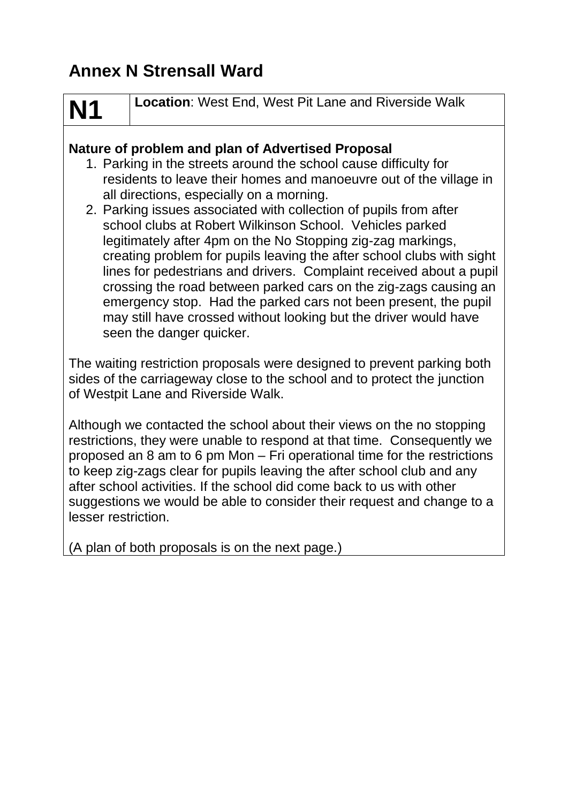## **Annex N Strensall Ward**

# **N1**

**Location**: West End, West Pit Lane and Riverside Walk

#### **Nature of problem and plan of Advertised Proposal**

- 1. Parking in the streets around the school cause difficulty for residents to leave their homes and manoeuvre out of the village in all directions, especially on a morning.
- 2. Parking issues associated with collection of pupils from after school clubs at Robert Wilkinson School. Vehicles parked legitimately after 4pm on the No Stopping zig-zag markings, creating problem for pupils leaving the after school clubs with sight lines for pedestrians and drivers. Complaint received about a pupil crossing the road between parked cars on the zig-zags causing an emergency stop. Had the parked cars not been present, the pupil may still have crossed without looking but the driver would have seen the danger quicker.

The waiting restriction proposals were designed to prevent parking both sides of the carriageway close to the school and to protect the junction of Westpit Lane and Riverside Walk.

Although we contacted the school about their views on the no stopping restrictions, they were unable to respond at that time. Consequently we proposed an 8 am to 6 pm Mon – Fri operational time for the restrictions to keep zig-zags clear for pupils leaving the after school club and any after school activities. If the school did come back to us with other suggestions we would be able to consider their request and change to a lesser restriction.

(A plan of both proposals is on the next page.)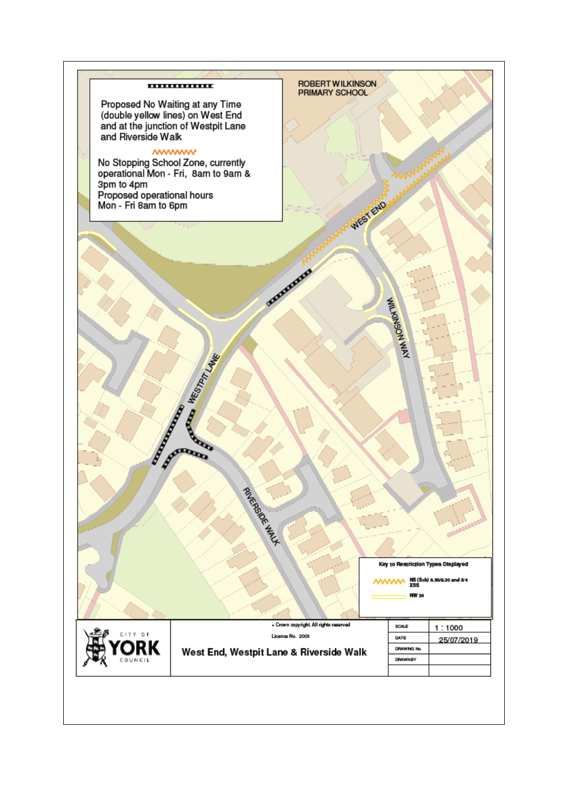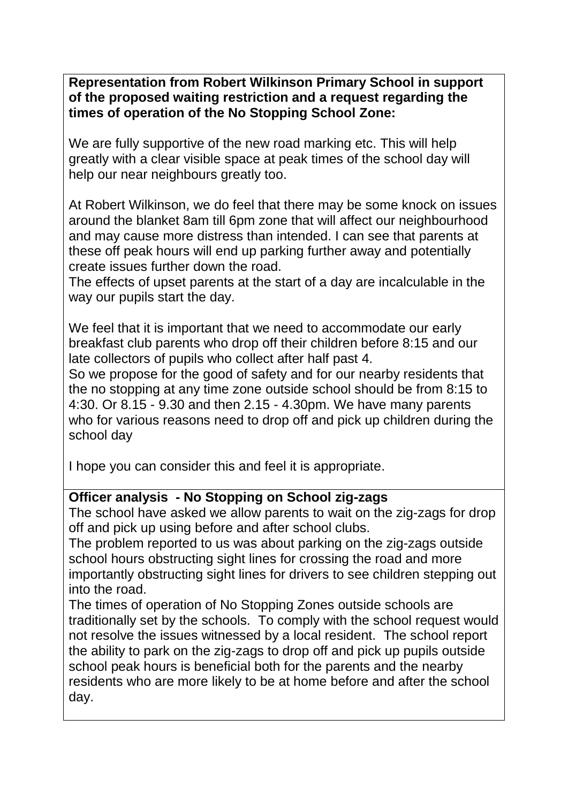**Representation from Robert Wilkinson Primary School in support of the proposed waiting restriction and a request regarding the times of operation of the No Stopping School Zone:**

We are fully supportive of the new road marking etc. This will help greatly with a clear visible space at peak times of the school day will help our near neighbours greatly too.

At Robert Wilkinson, we do feel that there may be some knock on issues around the blanket 8am till 6pm zone that will affect our neighbourhood and may cause more distress than intended. I can see that parents at these off peak hours will end up parking further away and potentially create issues further down the road.

The effects of upset parents at the start of a day are incalculable in the way our pupils start the day.

We feel that it is important that we need to accommodate our early breakfast club parents who drop off their children before 8:15 and our late collectors of pupils who collect after half past 4.

So we propose for the good of safety and for our nearby residents that the no stopping at any time zone outside school should be from 8:15 to 4:30. Or 8.15 - 9.30 and then 2.15 - 4.30pm. We have many parents who for various reasons need to drop off and pick up children during the school day

I hope you can consider this and feel it is appropriate.

#### **Officer analysis - No Stopping on School zig-zags**

The school have asked we allow parents to wait on the zig-zags for drop off and pick up using before and after school clubs.

The problem reported to us was about parking on the zig-zags outside school hours obstructing sight lines for crossing the road and more importantly obstructing sight lines for drivers to see children stepping out into the road.

The times of operation of No Stopping Zones outside schools are traditionally set by the schools. To comply with the school request would not resolve the issues witnessed by a local resident. The school report the ability to park on the zig-zags to drop off and pick up pupils outside school peak hours is beneficial both for the parents and the nearby residents who are more likely to be at home before and after the school day.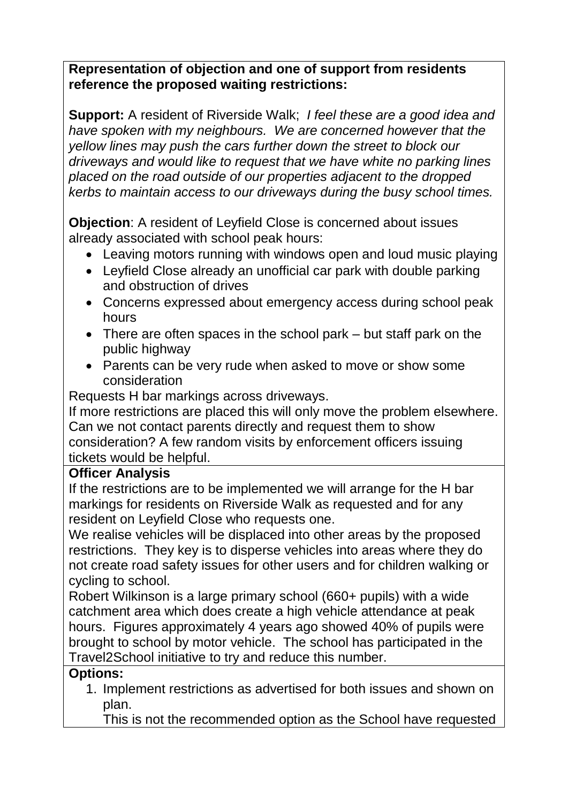#### **Representation of objection and one of support from residents reference the proposed waiting restrictions:**

**Support:** A resident of Riverside Walk; *I feel these are a good idea and have spoken with my neighbours. We are concerned however that the yellow lines may push the cars further down the street to block our driveways and would like to request that we have white no parking lines placed on the road outside of our properties adjacent to the dropped kerbs to maintain access to our driveways during the busy school times.*

**Objection**: A resident of Leyfield Close is concerned about issues already associated with school peak hours:

- Leaving motors running with windows open and loud music playing
- Leyfield Close already an unofficial car park with double parking and obstruction of drives
- Concerns expressed about emergency access during school peak hours
- There are often spaces in the school park but staff park on the public highway
- Parents can be very rude when asked to move or show some consideration

Requests H bar markings across driveways.

If more restrictions are placed this will only move the problem elsewhere. Can we not contact parents directly and request them to show consideration? A few random visits by enforcement officers issuing tickets would be helpful.

#### **Officer Analysis**

If the restrictions are to be implemented we will arrange for the H bar markings for residents on Riverside Walk as requested and for any resident on Leyfield Close who requests one.

We realise vehicles will be displaced into other areas by the proposed restrictions. They key is to disperse vehicles into areas where they do not create road safety issues for other users and for children walking or cycling to school.

Robert Wilkinson is a large primary school (660+ pupils) with a wide catchment area which does create a high vehicle attendance at peak hours. Figures approximately 4 years ago showed 40% of pupils were brought to school by motor vehicle. The school has participated in the Travel2School initiative to try and reduce this number.

#### **Options:**

- 1. Implement restrictions as advertised for both issues and shown on plan.
	- This is not the recommended option as the School have requested